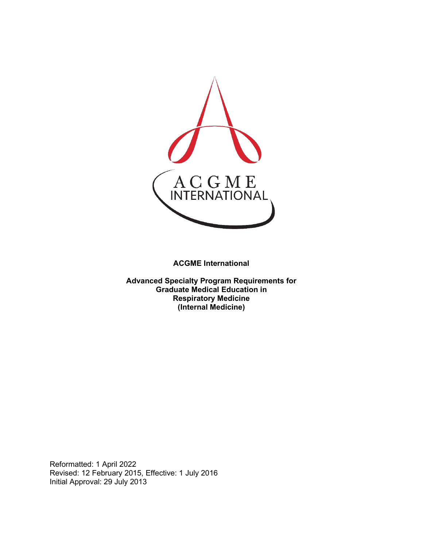

**ACGME International** 

**Advanced Specialty Program Requirements for Graduate Medical Education in Respiratory Medicine (Internal Medicine)**

Reformatted: 1 April 2022 Revised: 12 February 2015, Effective: 1 July 2016 Initial Approval: 29 July 2013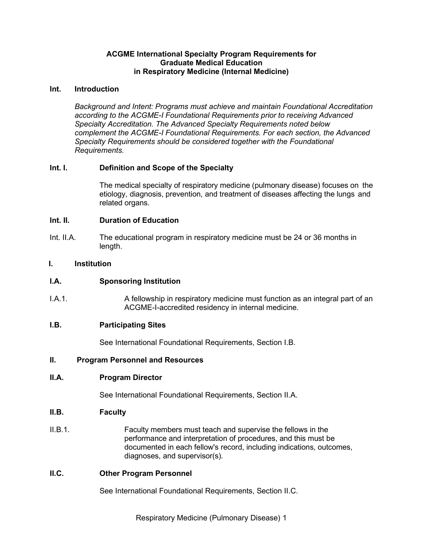### **ACGME International Specialty Program Requirements for Graduate Medical Education in Respiratory Medicine (Internal Medicine)**

#### **Int. Introduction**

*Background and Intent: Programs must achieve and maintain Foundational Accreditation according to the ACGME-I Foundational Requirements prior to receiving Advanced Specialty Accreditation. The Advanced Specialty Requirements noted below complement the ACGME-I Foundational Requirements. For each section, the Advanced Specialty Requirements should be considered together with the Foundational Requirements.*

## **Int. I. Definition and Scope of the Specialty**

The medical specialty of respiratory medicine (pulmonary disease) focuses on the etiology, diagnosis, prevention, and treatment of diseases affecting the lungs and related organs.

#### **Int. II. Duration of Education**

Int. II.A. The educational program in respiratory medicine must be 24 or 36 months in length.

#### **I. Institution**

#### **I.A. Sponsoring Institution**

I.A.1. A fellowship in respiratory medicine must function as an integral part of an ACGME-I-accredited residency in internal medicine.

#### **I.B. Participating Sites**

See International Foundational Requirements, Section I.B.

#### **II. Program Personnel and Resources**

#### **II.A. Program Director**

See International Foundational Requirements, Section II.A.

#### **II.B. Faculty**

II.B.1. Faculty members must teach and supervise the fellows in the performance and interpretation of procedures, and this must be documented in each fellow's record, including indications, outcomes, diagnoses, and supervisor(s).

#### **II.C. Other Program Personnel**

See International Foundational Requirements, Section II.C.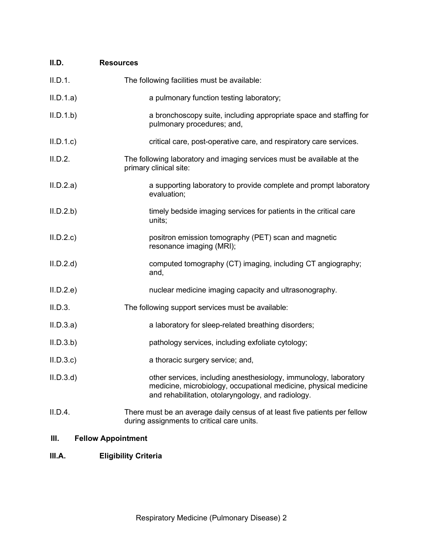| II.D.     | <b>Resources</b>                                                                                                                                                                           |
|-----------|--------------------------------------------------------------------------------------------------------------------------------------------------------------------------------------------|
| II.D.1.   | The following facilities must be available:                                                                                                                                                |
| II.D.1.a) | a pulmonary function testing laboratory;                                                                                                                                                   |
| II.D.1.b  | a bronchoscopy suite, including appropriate space and staffing for<br>pulmonary procedures; and,                                                                                           |
| II.D.1.c  | critical care, post-operative care, and respiratory care services.                                                                                                                         |
| II.D.2.   | The following laboratory and imaging services must be available at the<br>primary clinical site:                                                                                           |
| II.D.2.a) | a supporting laboratory to provide complete and prompt laboratory<br>evaluation;                                                                                                           |
| II.D.2.b  | timely bedside imaging services for patients in the critical care<br>units;                                                                                                                |
| II.D.2.c  | positron emission tomography (PET) scan and magnetic<br>resonance imaging (MRI);                                                                                                           |
| II.D.2.d  | computed tomography (CT) imaging, including CT angiography;<br>and,                                                                                                                        |
| II.D.2.e  | nuclear medicine imaging capacity and ultrasonography.                                                                                                                                     |
| II.D.3.   | The following support services must be available:                                                                                                                                          |
| II.D.3.a) | a laboratory for sleep-related breathing disorders;                                                                                                                                        |
| II.D.3.b  | pathology services, including exfoliate cytology;                                                                                                                                          |
| II.D.3.c  | a thoracic surgery service; and,                                                                                                                                                           |
| II.D.3.d  | other services, including anesthesiology, immunology, laboratory<br>medicine, microbiology, occupational medicine, physical medicine<br>and rehabilitation, otolaryngology, and radiology. |
| II.D.4.   | There must be an average daily census of at least five patients per fellow<br>during assignments to critical care units.                                                                   |

# **III. Fellow Appointment**

# **III.A. Eligibility Criteria**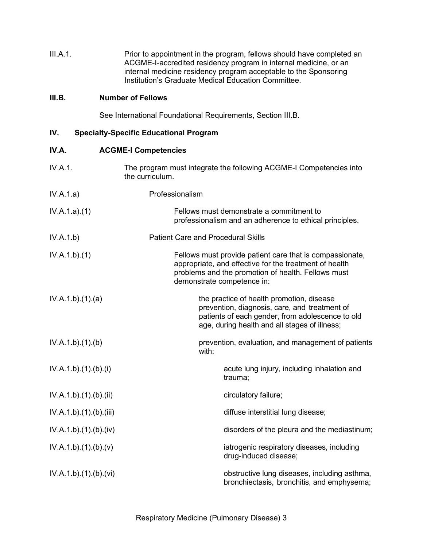| III.A.1. | Prior to appointment in the program, fellows should have completed an |
|----------|-----------------------------------------------------------------------|
|          | ACGME-I-accredited residency program in internal medicine, or an      |
|          | internal medicine residency program acceptable to the Sponsoring      |
|          | Institution's Graduate Medical Education Committee.                   |

## **III.B. Number of Fellows**

See International Foundational Requirements, Section III.B.

# **IV. Specialty-Specific Educational Program**

| IV.A.                   | <b>ACGME-I Competencies</b>                                                                                                                                                                            |
|-------------------------|--------------------------------------------------------------------------------------------------------------------------------------------------------------------------------------------------------|
| IV.A.1.                 | The program must integrate the following ACGME-I Competencies into<br>the curriculum.                                                                                                                  |
| IV.A.1.a)               | Professionalism                                                                                                                                                                                        |
| IV.A.1.a)(1)            | Fellows must demonstrate a commitment to<br>professionalism and an adherence to ethical principles.                                                                                                    |
| IV.A.1.b)               | <b>Patient Care and Procedural Skills</b>                                                                                                                                                              |
| IV.A.1.b)(1)            | Fellows must provide patient care that is compassionate,<br>appropriate, and effective for the treatment of health<br>problems and the promotion of health. Fellows must<br>demonstrate competence in: |
| IV.A.1.b)(1)(a)         | the practice of health promotion, disease<br>prevention, diagnosis, care, and treatment of<br>patients of each gender, from adolescence to old<br>age, during health and all stages of illness;        |
| IV.A.1.b)(1)(b)         | prevention, evaluation, and management of patients<br>with:                                                                                                                                            |
| IV.A.1.b)(1)(b)(i)      | acute lung injury, including inhalation and<br>trauma;                                                                                                                                                 |
| IV.A.1.b)(1)(b)(ii)     | circulatory failure;                                                                                                                                                                                   |
| IV.A.1.b).(1).(b).(iii) | diffuse interstitial lung disease;                                                                                                                                                                     |
| IV.A.1.b)(1)(b)(iv)     | disorders of the pleura and the mediastinum;                                                                                                                                                           |
| IV.A.1.b)(1)(b)(v)      | iatrogenic respiratory diseases, including<br>drug-induced disease;                                                                                                                                    |
| IV.A.1.b)(1)(b)(vi)     | obstructive lung diseases, including asthma,<br>bronchiectasis, bronchitis, and emphysema;                                                                                                             |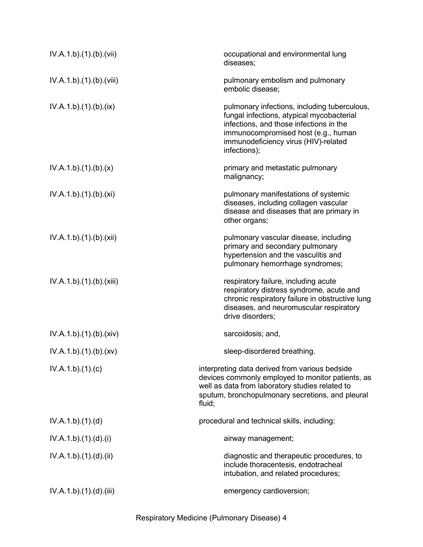| IV.A.1.b)(1)(b)(vii)   | occupational and environmental lung<br>diseases;                                                                                                                                                                                    |
|------------------------|-------------------------------------------------------------------------------------------------------------------------------------------------------------------------------------------------------------------------------------|
| IV.A.1.b)(1)(b)(viii)  | pulmonary embolism and pulmonary<br>embolic disease;                                                                                                                                                                                |
| IV.A.1.b) (1) (b) (ix) | pulmonary infections, including tuberculous,<br>fungal infections, atypical mycobacterial<br>infections, and those infections in the<br>immunocompromised host (e.g., human<br>immunodeficiency virus (HIV)-related<br>infections); |
| IV.A.1.b)(1)(b)(x)     | primary and metastatic pulmonary<br>malignancy;                                                                                                                                                                                     |
| IV.A.1.b)(1)(b)(xi)    | pulmonary manifestations of systemic<br>diseases, including collagen vascular<br>disease and diseases that are primary in<br>other organs;                                                                                          |
| IV.A.1.b)(1)(b)(xii)   | pulmonary vascular disease, including<br>primary and secondary pulmonary<br>hypertension and the vasculitis and<br>pulmonary hemorrhage syndromes;                                                                                  |
| IV.A.1.b)(1)(b)(xiii)  | respiratory failure, including acute<br>respiratory distress syndrome, acute and<br>chronic respiratory failure in obstructive lung<br>diseases, and neuromuscular respiratory<br>drive disorders:                                  |
| IV.A.1.b)(1)(b)(xiv)   | sarcoidosis; and,                                                                                                                                                                                                                   |
| IV.A.1.b)(1)(b)(xv)    | sleep-disordered breathing.                                                                                                                                                                                                         |
| IV.A.1.b)(1)(c)        | interpreting data derived from various bedside<br>devices commonly employed to monitor patients, as<br>well as data from laboratory studies related to<br>sputum, bronchopulmonary secretions, and pleural<br>fluid;                |
| IV.A.1.b)(1)(d)        | procedural and technical skills, including:                                                                                                                                                                                         |
| IV.A.1.b)(1).(d).(i)   | airway management;                                                                                                                                                                                                                  |
| IV.A.1.b)(1)(d)(ii)    | diagnostic and therapeutic procedures, to<br>include thoracentesis, endotracheal<br>intubation, and related procedures;                                                                                                             |
| IV.A.1.b)(1)(d)(iii)   | emergency cardioversion;                                                                                                                                                                                                            |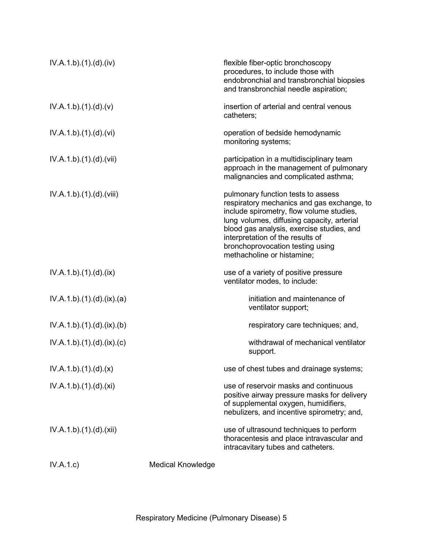| IV.A.1.b)(1)(d)(iv)        |                          | flexible fiber-optic bronchoscopy<br>procedures, to include those with<br>endobronchial and transbronchial biopsies<br>and transbronchial needle aspiration;                                                                                                                                                                  |
|----------------------------|--------------------------|-------------------------------------------------------------------------------------------------------------------------------------------------------------------------------------------------------------------------------------------------------------------------------------------------------------------------------|
| IV.A.1.b)(1)(d)(v)         |                          | insertion of arterial and central venous<br>catheters;                                                                                                                                                                                                                                                                        |
| IV.A.1.b)(1)(d)(vi)        |                          | operation of bedside hemodynamic<br>monitoring systems;                                                                                                                                                                                                                                                                       |
| IV.A.1.b)(1)(d)(vii)       |                          | participation in a multidisciplinary team<br>approach in the management of pulmonary<br>malignancies and complicated asthma;                                                                                                                                                                                                  |
| IV.A.1.b)(1)(d)(viii)      |                          | pulmonary function tests to assess<br>respiratory mechanics and gas exchange, to<br>include spirometry, flow volume studies,<br>lung volumes, diffusing capacity, arterial<br>blood gas analysis, exercise studies, and<br>interpretation of the results of<br>bronchoprovocation testing using<br>methacholine or histamine; |
| IV.A.1.b)(1)(d)(ix)        |                          | use of a variety of positive pressure<br>ventilator modes, to include:                                                                                                                                                                                                                                                        |
| IV.A.1.b)(1)(d)(ix)(a)     |                          | initiation and maintenance of<br>ventilator support;                                                                                                                                                                                                                                                                          |
| IV.A.1.b)(1)(d)(ix)(b)     |                          | respiratory care techniques; and,                                                                                                                                                                                                                                                                                             |
| IV.A.1.b).(1).(d).(ix).(c) |                          | withdrawal of mechanical ventilator<br>support.                                                                                                                                                                                                                                                                               |
| IV.A.1.b)(1)(d)(x)         |                          | use of chest tubes and drainage systems;                                                                                                                                                                                                                                                                                      |
| IV.A.1.b)(1)(d)(xi)        |                          | use of reservoir masks and continuous<br>positive airway pressure masks for delivery<br>of supplemental oxygen, humidifiers,<br>nebulizers, and incentive spirometry; and,                                                                                                                                                    |
| IV.A.1.b)(1)(d)(xii)       |                          | use of ultrasound techniques to perform<br>thoracentesis and place intravascular and<br>intracavitary tubes and catheters.                                                                                                                                                                                                    |
| IV.A.1.c)                  | <b>Medical Knowledge</b> |                                                                                                                                                                                                                                                                                                                               |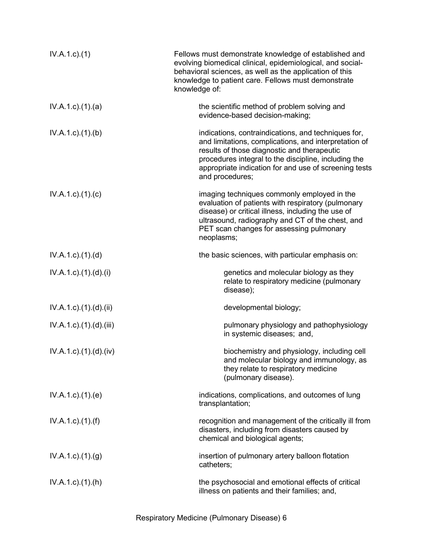| $IV.A.1.c.$ (1)                     | Fellows must demonstrate knowledge of established and<br>evolving biomedical clinical, epidemiological, and social-<br>behavioral sciences, as well as the application of this<br>knowledge to patient care. Fellows must demonstrate<br>knowledge of:                                          |
|-------------------------------------|-------------------------------------------------------------------------------------------------------------------------------------------------------------------------------------------------------------------------------------------------------------------------------------------------|
| $IV.A.1.c$ . $(1).$ $(a)$           | the scientific method of problem solving and<br>evidence-based decision-making;                                                                                                                                                                                                                 |
| $IV.A.1.c.$ (1).(b)                 | indications, contraindications, and techniques for,<br>and limitations, complications, and interpretation of<br>results of those diagnostic and therapeutic<br>procedures integral to the discipline, including the<br>appropriate indication for and use of screening tests<br>and procedures; |
| $IV.A.1.c$ ). $(1).$ (c)            | imaging techniques commonly employed in the<br>evaluation of patients with respiratory (pulmonary<br>disease) or critical illness, including the use of<br>ultrasound, radiography and CT of the chest, and<br>PET scan changes for assessing pulmonary<br>neoplasms;                           |
| $IV.A.1.c$ . $(1).$ $(d)$           | the basic sciences, with particular emphasis on:                                                                                                                                                                                                                                                |
| $IV.A.1.c$ . $(1).$ $(d)$ . $(i)$   | genetics and molecular biology as they<br>relate to respiratory medicine (pulmonary<br>disease);                                                                                                                                                                                                |
| $IV.A.1.c$ . $(1).$ $(d).$ $(ii)$   | developmental biology;                                                                                                                                                                                                                                                                          |
| $IV.A.1.c$ . $(1).$ $(d)$ . $(iii)$ | pulmonary physiology and pathophysiology<br>in systemic diseases; and,                                                                                                                                                                                                                          |
| $IV.A.1.c$ . $(1).$ $(d)$ . $(iv)$  | biochemistry and physiology, including cell<br>and molecular biology and immunology, as<br>they relate to respiratory medicine<br>(pulmonary disease).                                                                                                                                          |
| $IV.A.1.c$ . $(1).$ (e)             | indications, complications, and outcomes of lung<br>transplantation;                                                                                                                                                                                                                            |
| $IV.A.1.c$ . $(1).(f)$              | recognition and management of the critically ill from<br>disasters, including from disasters caused by<br>chemical and biological agents;                                                                                                                                                       |
| $IV.A.1.c$ . $(1).(g)$              | insertion of pulmonary artery balloon flotation<br>catheters;                                                                                                                                                                                                                                   |
| $IV.A.1.c$ . $(1).(h)$              | the psychosocial and emotional effects of critical<br>illness on patients and their families; and,                                                                                                                                                                                              |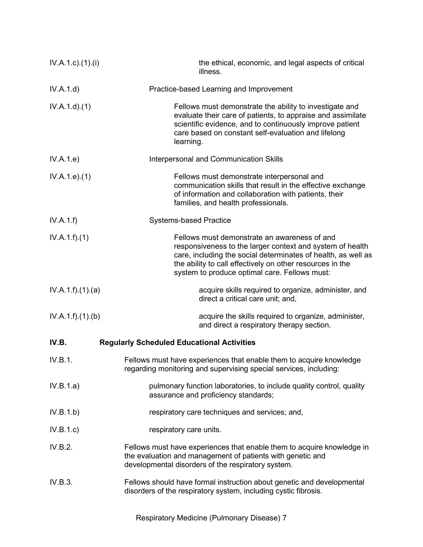| $IV.A.1.c$ ). $(1).$ | the ethical, economic, and legal aspects of critical<br>illness.                                                                                                                                                                                                                         |
|----------------------|------------------------------------------------------------------------------------------------------------------------------------------------------------------------------------------------------------------------------------------------------------------------------------------|
| IV.A.1.d)            | Practice-based Learning and Improvement                                                                                                                                                                                                                                                  |
| IV.A.1.d.(1)         | Fellows must demonstrate the ability to investigate and<br>evaluate their care of patients, to appraise and assimilate<br>scientific evidence, and to continuously improve patient<br>care based on constant self-evaluation and lifelong<br>learning.                                   |
| IV.A.1.e)            | Interpersonal and Communication Skills                                                                                                                                                                                                                                                   |
| IV.A.1.e. (1)        | Fellows must demonstrate interpersonal and<br>communication skills that result in the effective exchange<br>of information and collaboration with patients, their<br>families, and health professionals.                                                                                 |
| IV.A.1.f)            | <b>Systems-based Practice</b>                                                                                                                                                                                                                                                            |
| IV.A.1.f)(1)         | Fellows must demonstrate an awareness of and<br>responsiveness to the larger context and system of health<br>care, including the social determinates of health, as well as<br>the ability to call effectively on other resources in the<br>system to produce optimal care. Fellows must: |
| IV.A.1.f)(1)(a)      | acquire skills required to organize, administer, and<br>direct a critical care unit; and,                                                                                                                                                                                                |
| IV.A.1.f)(1)(b)      | acquire the skills required to organize, administer,<br>and direct a respiratory therapy section.                                                                                                                                                                                        |
| IV.B.                | <b>Regularly Scheduled Educational Activities</b>                                                                                                                                                                                                                                        |
| IV.B.1.              | Fellows must have experiences that enable them to acquire knowledge<br>regarding monitoring and supervising special services, including:                                                                                                                                                 |
| IV.B.1.a)            | pulmonary function laboratories, to include quality control, quality<br>assurance and proficiency standards;                                                                                                                                                                             |
| IV.B.1.b)            | respiratory care techniques and services; and,                                                                                                                                                                                                                                           |
| IV.B.1.c)            | respiratory care units.                                                                                                                                                                                                                                                                  |
| IV.B.2.              | Fellows must have experiences that enable them to acquire knowledge in<br>the evaluation and management of patients with genetic and<br>developmental disorders of the respiratory system.                                                                                               |
| IV.B.3.              | Fellows should have formal instruction about genetic and developmental<br>disorders of the respiratory system, including cystic fibrosis.                                                                                                                                                |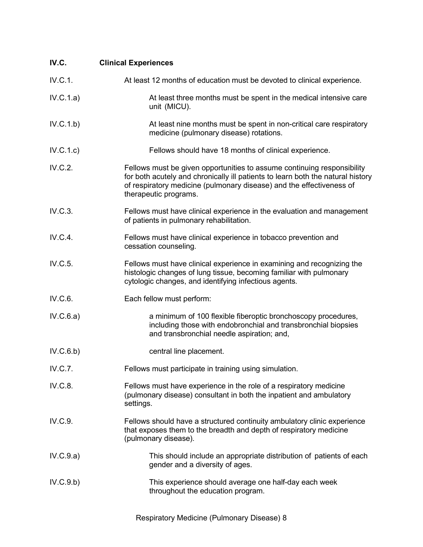| IV.C.     | <b>Clinical Experiences</b>                                                                                                                                                                                                                                 |
|-----------|-------------------------------------------------------------------------------------------------------------------------------------------------------------------------------------------------------------------------------------------------------------|
| IV.C.1.   | At least 12 months of education must be devoted to clinical experience.                                                                                                                                                                                     |
| IV.C.1.a) | At least three months must be spent in the medical intensive care<br>unit (MICU).                                                                                                                                                                           |
| IV.C.1.b) | At least nine months must be spent in non-critical care respiratory<br>medicine (pulmonary disease) rotations.                                                                                                                                              |
| IV.C.1.c) | Fellows should have 18 months of clinical experience.                                                                                                                                                                                                       |
| IV.C.2.   | Fellows must be given opportunities to assume continuing responsibility<br>for both acutely and chronically ill patients to learn both the natural history<br>of respiratory medicine (pulmonary disease) and the effectiveness of<br>therapeutic programs. |
| IV.C.3.   | Fellows must have clinical experience in the evaluation and management<br>of patients in pulmonary rehabilitation.                                                                                                                                          |
| IV.C.4.   | Fellows must have clinical experience in tobacco prevention and<br>cessation counseling.                                                                                                                                                                    |
| IV.C.5.   | Fellows must have clinical experience in examining and recognizing the<br>histologic changes of lung tissue, becoming familiar with pulmonary<br>cytologic changes, and identifying infectious agents.                                                      |
| IV.C.6.   | Each fellow must perform:                                                                                                                                                                                                                                   |
| IV.C.6.a) | a minimum of 100 flexible fiberoptic bronchoscopy procedures,<br>including those with endobronchial and transbronchial biopsies<br>and transbronchial needle aspiration; and,                                                                               |
| IV.C.6.b) | central line placement.                                                                                                                                                                                                                                     |
| IV.C.7.   | Fellows must participate in training using simulation.                                                                                                                                                                                                      |
| IV.C.8.   | Fellows must have experience in the role of a respiratory medicine<br>(pulmonary disease) consultant in both the inpatient and ambulatory<br>settings.                                                                                                      |
| IV.C.9.   | Fellows should have a structured continuity ambulatory clinic experience<br>that exposes them to the breadth and depth of respiratory medicine<br>(pulmonary disease).                                                                                      |
| IV.C.9.a) | This should include an appropriate distribution of patients of each<br>gender and a diversity of ages.                                                                                                                                                      |
| IV.C.9.b) | This experience should average one half-day each week<br>throughout the education program.                                                                                                                                                                  |
|           |                                                                                                                                                                                                                                                             |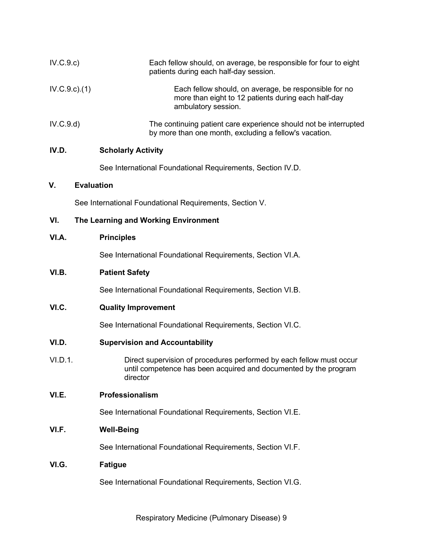| IV.C.9.c)       | Each fellow should, on average, be responsible for four to eight<br>patients during each half-day session.                                           |
|-----------------|------------------------------------------------------------------------------------------------------------------------------------------------------|
| $IV.C.9.c.$ (1) | Each fellow should, on average, be responsible for no<br>more than eight to 12 patients during each half-day<br>ambulatory session.                  |
| IV.C.9.d)       | The continuing patient care experience should not be interrupted<br>by more than one month, excluding a fellow's vacation.                           |
| IV.D.           | <b>Scholarly Activity</b>                                                                                                                            |
|                 | See International Foundational Requirements, Section IV.D.                                                                                           |
| ۷.              | <b>Evaluation</b>                                                                                                                                    |
|                 | See International Foundational Requirements, Section V.                                                                                              |
| VI.             | The Learning and Working Environment                                                                                                                 |
| VI.A.           | <b>Principles</b>                                                                                                                                    |
|                 | See International Foundational Requirements, Section VI.A.                                                                                           |
| VI.B.           | <b>Patient Safety</b>                                                                                                                                |
|                 | See International Foundational Requirements, Section VI.B.                                                                                           |
| VI.C.           | <b>Quality Improvement</b>                                                                                                                           |
|                 | See International Foundational Requirements, Section VI.C.                                                                                           |
| VI.D.           | <b>Supervision and Accountability</b>                                                                                                                |
| VI.D.1.         | Direct supervision of procedures performed by each fellow must occur<br>until competence has been acquired and documented by the program<br>director |
| VI.E.           | Professionalism                                                                                                                                      |
|                 | See International Foundational Requirements, Section VI.E.                                                                                           |
| VI.F.           | <b>Well-Being</b>                                                                                                                                    |
|                 | See International Foundational Requirements, Section VI.F.                                                                                           |
| VI.G.           | <b>Fatigue</b>                                                                                                                                       |
|                 | See International Foundational Requirements, Section VI.G.                                                                                           |